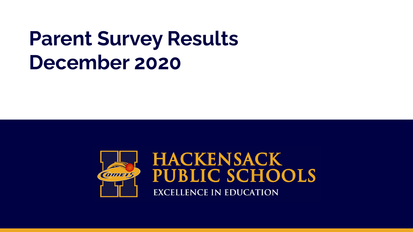### **Parent Survey Results December 2020**

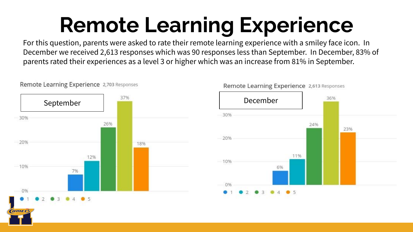## **Remote Learning Experience**

For this question, parents were asked to rate their remote learning experience with a smiley face icon. In December we received 2,613 responses which was 90 responses less than September. In December, 83% of parents rated their experiences as a level 3 or higher which was an increase from 81% in September.



Remote Learning Experience 2,613 Responses

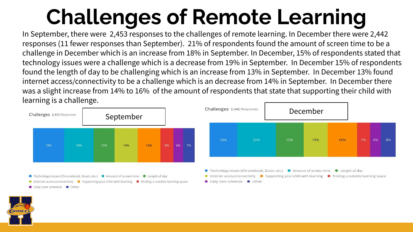# **Challenges of Remote Learning**

In September, there were 2,453 responses to the challenges of remote learning. In December there were 2,442 responses (11 fewer responses than September). 21% of respondents found the amount of screen time to be a challenge in December which is an increase from 18% in September. In December, 15% of respondents stated that technology issues were a challenge which is a decrease from 19% in September. In December 15% of respondents found the length of day to be challenging which is an increase from 13% in September. In December 13% found internet access/connectivity to be a challenge which is an decrease from 14% in September. In December there was a slight increase from 14% to 16% of the amount of respondents that state that supporting their child with learning is a challenge.



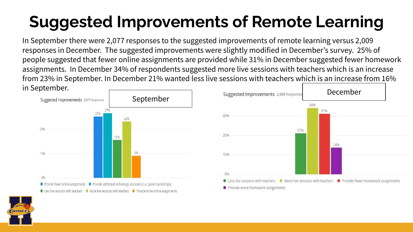#### **Suggested Improvements of Remote Learning**

In September there were 2,077 responses to the suggested improvements of remote learning versus 2,009 responses in December. The suggested improvements were slightly modified in December's survey. 25% of people suggested that fewer online assignments are provided while 31% in December suggested fewer homework assignments. In December 34% of respondents suggested more live sessions with teachers which is an increase from 23% in September. In December 21% wanted less live sessions with teachers which is an increase from 16% in September.